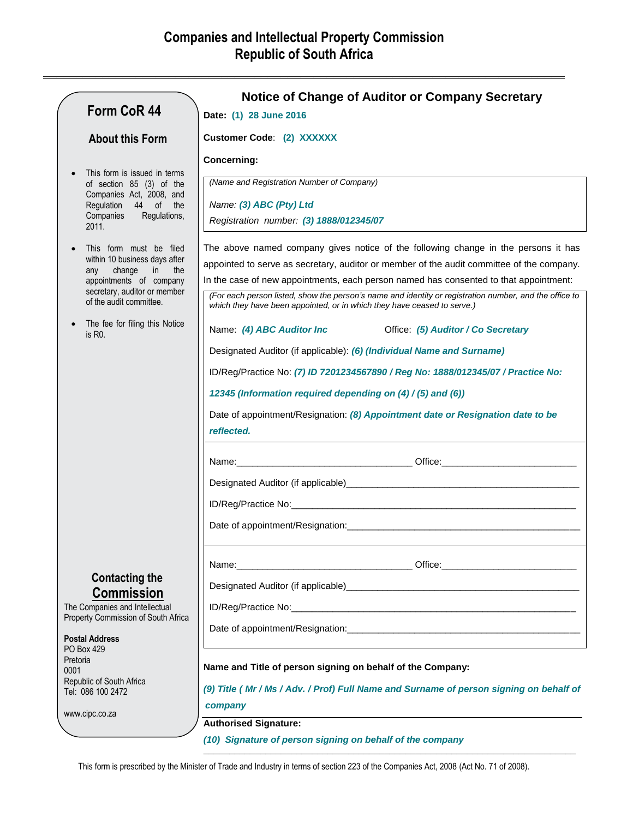**\_\_\_\_\_\_\_\_\_\_\_\_\_\_\_\_\_\_\_\_\_\_\_\_\_\_\_\_\_\_\_\_\_\_\_\_\_\_\_\_\_\_\_\_\_\_\_\_\_\_\_\_\_\_\_\_\_\_\_\_\_\_\_\_\_\_\_\_\_\_\_\_\_\_\_\_\_\_\_**

|          |                                                                        | <b>Notice of Change of Auditor or Company Secretary</b>                                                                                                                           |
|----------|------------------------------------------------------------------------|-----------------------------------------------------------------------------------------------------------------------------------------------------------------------------------|
|          | Form CoR 44                                                            | Date: (1) 28 June 2016                                                                                                                                                            |
|          | <b>About this Form</b>                                                 | <b>Customer Code: (2) XXXXXX</b>                                                                                                                                                  |
|          |                                                                        | <b>Concerning:</b>                                                                                                                                                                |
|          | This form is issued in terms<br>of section 85 (3) of the               | (Name and Registration Number of Company)                                                                                                                                         |
|          | Companies Act, 2008, and<br>Regulation 44 of the                       | Name: (3) ABC (Pty) Ltd                                                                                                                                                           |
|          | Companies<br>Regulations,<br>2011.                                     | Registration number: (3) 1888/012345/07                                                                                                                                           |
|          | This form must be filed                                                | The above named company gives notice of the following change in the persons it has                                                                                                |
|          | within 10 business days after<br>change<br>$\mathsf{in}$<br>the<br>any | appointed to serve as secretary, auditor or member of the audit committee of the company.                                                                                         |
|          | appointments of company<br>secretary, auditor or member                | In the case of new appointments, each person named has consented to that appointment:                                                                                             |
|          | of the audit committee.                                                | (For each person listed, show the person's name and identity or registration number, and the office to<br>which they have been appointed, or in which they have ceased to serve.) |
|          | The fee for filing this Notice<br>is R <sub>0</sub> .                  |                                                                                                                                                                                   |
|          |                                                                        | Designated Auditor (if applicable): (6) (Individual Name and Surname)                                                                                                             |
|          |                                                                        | ID/Reg/Practice No: (7) ID 7201234567890 / Reg No: 1888/012345/07 / Practice No:                                                                                                  |
|          |                                                                        | 12345 (Information required depending on (4) / (5) and (6))                                                                                                                       |
|          |                                                                        | Date of appointment/Resignation: (8) Appointment date or Resignation date to be<br>reflected.                                                                                     |
|          |                                                                        |                                                                                                                                                                                   |
|          |                                                                        |                                                                                                                                                                                   |
|          |                                                                        |                                                                                                                                                                                   |
|          |                                                                        |                                                                                                                                                                                   |
|          |                                                                        |                                                                                                                                                                                   |
|          | <b>Contacting the</b>                                                  |                                                                                                                                                                                   |
|          | <b>Commission</b><br>The Companies and Intellectual                    |                                                                                                                                                                                   |
|          | Property Commission of South Africa                                    |                                                                                                                                                                                   |
|          | <b>Postal Address</b><br>PO Box 429                                    |                                                                                                                                                                                   |
| Pretoria |                                                                        | Name and Title of person signing on behalf of the Company:                                                                                                                        |
| 0001     | Republic of South Africa                                               |                                                                                                                                                                                   |
|          | Tel: 086 100 2472                                                      | (9) Title ( Mr / Ms / Adv. / Prof) Full Name and Surname of person signing on behalf of                                                                                           |
|          | www.cipc.co.za                                                         | company<br><b>Authorised Signature:</b>                                                                                                                                           |

*(10) Signature of person signing on behalf of the company*

**\_\_\_\_\_\_\_\_\_\_\_\_\_\_\_\_\_\_\_\_\_\_\_\_\_\_\_\_\_\_\_\_\_\_\_\_\_\_\_\_\_\_\_\_\_\_\_\_\_\_\_\_\_\_\_\_\_\_\_\_\_\_\_\_\_\_\_\_\_\_\_\_**

This form is prescribed by the Minister of Trade and Industry in terms of section 223 of the Companies Act, 2008 (Act No. 71 of 2008).